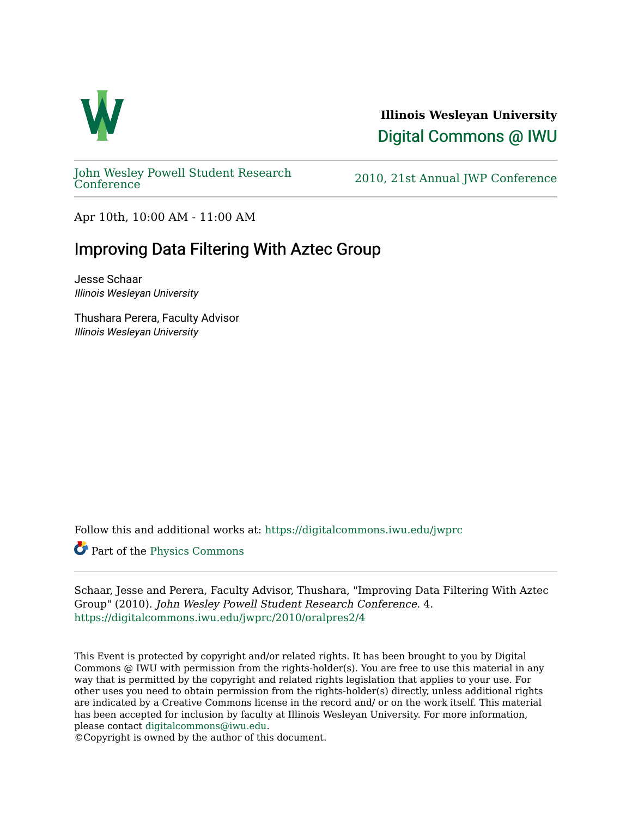

**Illinois Wesleyan University**  [Digital Commons @ IWU](https://digitalcommons.iwu.edu/) 

[John Wesley Powell Student Research](https://digitalcommons.iwu.edu/jwprc) 

2010, 21st Annual JWP [Conference](https://digitalcommons.iwu.edu/jwprc)

Apr 10th, 10:00 AM - 11:00 AM

## Improving Data Filtering With Aztec Group

Jesse Schaar Illinois Wesleyan University

Thushara Perera, Faculty Advisor Illinois Wesleyan University

Follow this and additional works at: [https://digitalcommons.iwu.edu/jwprc](https://digitalcommons.iwu.edu/jwprc?utm_source=digitalcommons.iwu.edu%2Fjwprc%2F2010%2Foralpres2%2F4&utm_medium=PDF&utm_campaign=PDFCoverPages) 

Part of the [Physics Commons](http://network.bepress.com/hgg/discipline/193?utm_source=digitalcommons.iwu.edu%2Fjwprc%2F2010%2Foralpres2%2F4&utm_medium=PDF&utm_campaign=PDFCoverPages) 

Schaar, Jesse and Perera, Faculty Advisor, Thushara, "Improving Data Filtering With Aztec Group" (2010). John Wesley Powell Student Research Conference. 4. [https://digitalcommons.iwu.edu/jwprc/2010/oralpres2/4](https://digitalcommons.iwu.edu/jwprc/2010/oralpres2/4?utm_source=digitalcommons.iwu.edu%2Fjwprc%2F2010%2Foralpres2%2F4&utm_medium=PDF&utm_campaign=PDFCoverPages)

This Event is protected by copyright and/or related rights. It has been brought to you by Digital Commons @ IWU with permission from the rights-holder(s). You are free to use this material in any way that is permitted by the copyright and related rights legislation that applies to your use. For other uses you need to obtain permission from the rights-holder(s) directly, unless additional rights are indicated by a Creative Commons license in the record and/ or on the work itself. This material has been accepted for inclusion by faculty at Illinois Wesleyan University. For more information, please contact [digitalcommons@iwu.edu.](mailto:digitalcommons@iwu.edu)

©Copyright is owned by the author of this document.